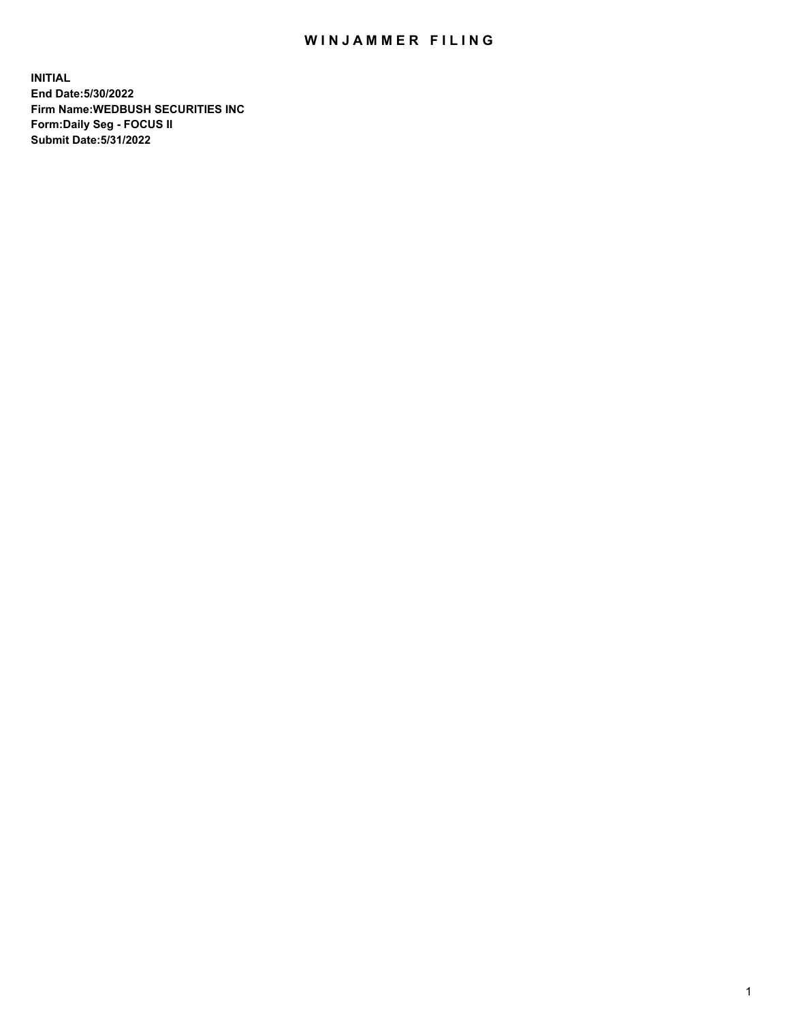## WIN JAMMER FILING

**INITIAL End Date:5/30/2022 Firm Name:WEDBUSH SECURITIES INC Form:Daily Seg - FOCUS II Submit Date:5/31/2022**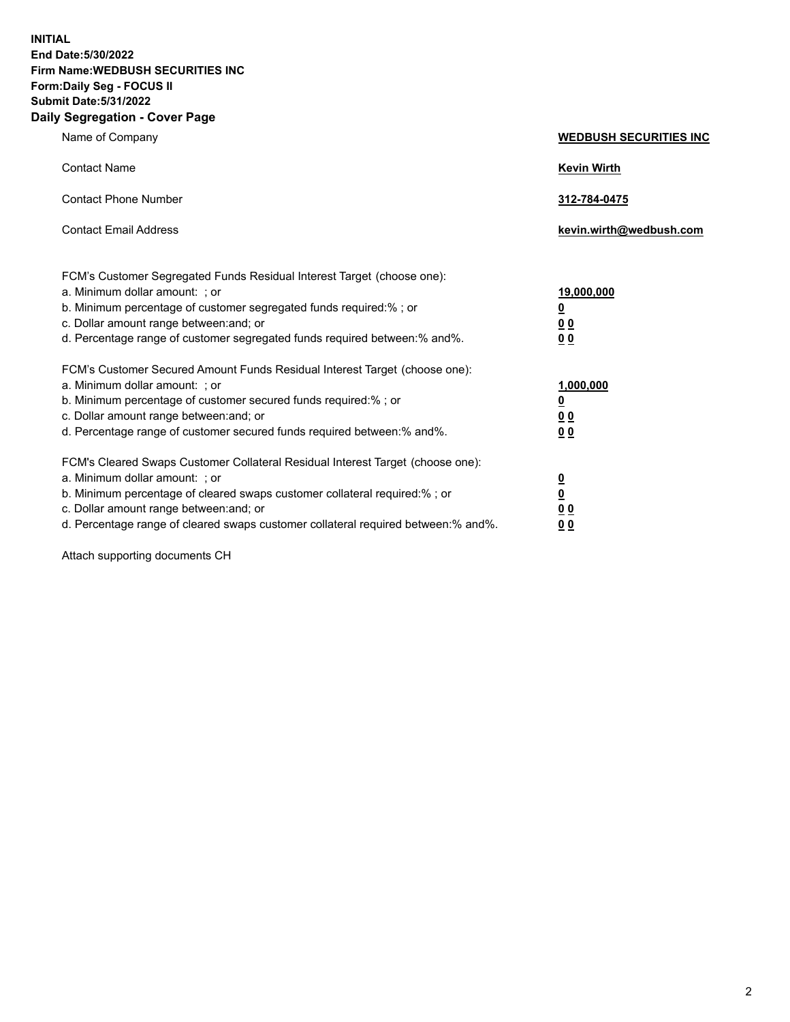**INITIAL End Date:5/30/2022 Firm Name:WEDBUSH SECURITIES INC Form:Daily Seg - FOCUS II Submit Date:5/31/2022 Daily Segregation - Cover Page**

| Name of Company                                                                                                                                                                                                                                                                                        | <b>WEDBUSH SECURITIES INC</b>                        |
|--------------------------------------------------------------------------------------------------------------------------------------------------------------------------------------------------------------------------------------------------------------------------------------------------------|------------------------------------------------------|
| <b>Contact Name</b>                                                                                                                                                                                                                                                                                    | <b>Kevin Wirth</b>                                   |
| <b>Contact Phone Number</b>                                                                                                                                                                                                                                                                            | 312-784-0475                                         |
| <b>Contact Email Address</b>                                                                                                                                                                                                                                                                           | kevin.wirth@wedbush.com                              |
| FCM's Customer Segregated Funds Residual Interest Target (choose one):<br>a. Minimum dollar amount: ; or<br>b. Minimum percentage of customer segregated funds required:% ; or<br>c. Dollar amount range between: and; or<br>d. Percentage range of customer segregated funds required between:% and%. | 19,000,000<br><u>0</u><br>00<br>0 <sub>0</sub>       |
| FCM's Customer Secured Amount Funds Residual Interest Target (choose one):<br>a. Minimum dollar amount: ; or<br>b. Minimum percentage of customer secured funds required:%; or<br>c. Dollar amount range between: and; or<br>d. Percentage range of customer secured funds required between: % and %.  | 1,000,000<br><u>0</u><br><u>00</u><br>0 <sub>0</sub> |
| FCM's Cleared Swaps Customer Collateral Residual Interest Target (choose one):<br>a. Minimum dollar amount: ; or<br>b. Minimum percentage of cleared swaps customer collateral required:%; or<br>c. Dollar amount range between: and; or                                                               | $\frac{0}{0}$<br>0 <sub>0</sub>                      |

d. Percentage range of cleared swaps customer collateral required between:% and%. **0 0**

Attach supporting documents CH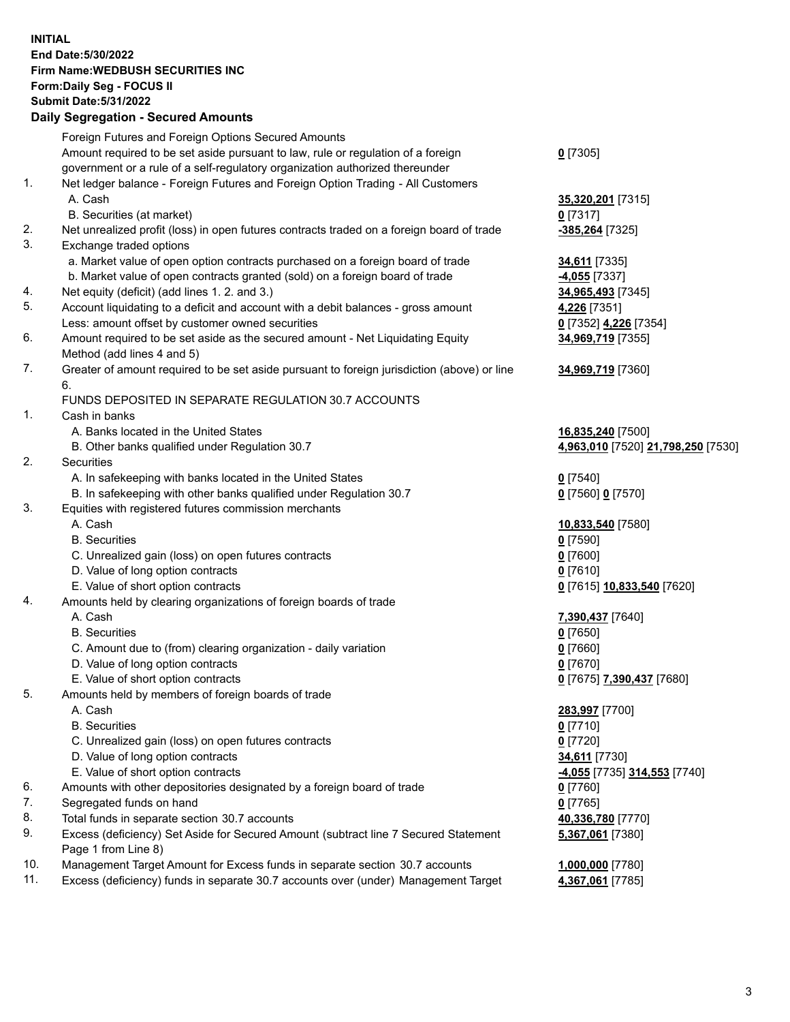**INITIAL End Date:5/30/2022 Firm Name:WEDBUSH SECURITIES INC Form:Daily Seg - FOCUS II Submit Date:5/31/2022 Daily Segregation - Secured Amounts**

|     | Daily Ocglegation - Occuled Anioants                                                               |                                    |
|-----|----------------------------------------------------------------------------------------------------|------------------------------------|
|     | Foreign Futures and Foreign Options Secured Amounts                                                |                                    |
|     | Amount required to be set aside pursuant to law, rule or regulation of a foreign                   | $0$ [7305]                         |
|     | government or a rule of a self-regulatory organization authorized thereunder                       |                                    |
| 1.  | Net ledger balance - Foreign Futures and Foreign Option Trading - All Customers                    |                                    |
|     | A. Cash                                                                                            | 35,320,201 [7315]                  |
|     | B. Securities (at market)                                                                          | $0$ [7317]                         |
| 2.  | Net unrealized profit (loss) in open futures contracts traded on a foreign board of trade          | -385,264 [7325]                    |
| 3.  | Exchange traded options                                                                            |                                    |
|     | a. Market value of open option contracts purchased on a foreign board of trade                     | <b>34,611</b> [7335]               |
|     | b. Market value of open contracts granted (sold) on a foreign board of trade                       | -4,055 [7337]                      |
| 4.  | Net equity (deficit) (add lines 1. 2. and 3.)                                                      | 34,965,493 [7345]                  |
| 5.  | Account liquidating to a deficit and account with a debit balances - gross amount                  | 4,226 [7351]                       |
|     | Less: amount offset by customer owned securities                                                   | 0 [7352] 4,226 [7354]              |
| 6.  | Amount required to be set aside as the secured amount - Net Liquidating Equity                     | 34,969,719 [7355]                  |
|     | Method (add lines 4 and 5)                                                                         |                                    |
| 7.  | Greater of amount required to be set aside pursuant to foreign jurisdiction (above) or line        | 34,969,719 [7360]                  |
|     | 6.                                                                                                 |                                    |
|     | FUNDS DEPOSITED IN SEPARATE REGULATION 30.7 ACCOUNTS                                               |                                    |
| 1.  | Cash in banks                                                                                      |                                    |
|     | A. Banks located in the United States                                                              | 16,835,240 [7500]                  |
|     | B. Other banks qualified under Regulation 30.7                                                     | 4,963,010 [7520] 21,798,250 [7530] |
| 2.  | Securities                                                                                         |                                    |
|     | A. In safekeeping with banks located in the United States                                          | $0$ [7540]                         |
|     | B. In safekeeping with other banks qualified under Regulation 30.7                                 | 0 [7560] 0 [7570]                  |
| 3.  | Equities with registered futures commission merchants                                              |                                    |
|     | A. Cash                                                                                            | 10,833,540 [7580]                  |
|     | <b>B.</b> Securities                                                                               | $0$ [7590]                         |
|     | C. Unrealized gain (loss) on open futures contracts                                                | $0$ [7600]                         |
|     | D. Value of long option contracts                                                                  | $0$ [7610]                         |
|     | E. Value of short option contracts                                                                 | 0 [7615] 10,833,540 [7620]         |
| 4.  | Amounts held by clearing organizations of foreign boards of trade                                  |                                    |
|     | A. Cash                                                                                            | 7,390,437 [7640]                   |
|     | <b>B.</b> Securities                                                                               | $0$ [7650]                         |
|     | C. Amount due to (from) clearing organization - daily variation                                    | $0$ [7660]                         |
|     | D. Value of long option contracts                                                                  | $0$ [7670]                         |
|     | E. Value of short option contracts                                                                 | 0 [7675] 7,390,437 [7680]          |
| 5.  | Amounts held by members of foreign boards of trade                                                 |                                    |
|     | A. Cash                                                                                            | 283,997 [7700]                     |
|     | <b>B.</b> Securities                                                                               | <u>0</u> [7710]                    |
|     | C. Unrealized gain (loss) on open futures contracts                                                | <u>0</u> [7720]                    |
|     | D. Value of long option contracts                                                                  | 34,611 [7730]                      |
| 6.  | E. Value of short option contracts                                                                 | -4,055 [7735] 314,553 [7740]       |
| 7.  | Amounts with other depositories designated by a foreign board of trade<br>Segregated funds on hand | 0 [7760]<br>$0$ [7765]             |
| 8.  | Total funds in separate section 30.7 accounts                                                      |                                    |
| 9.  | Excess (deficiency) Set Aside for Secured Amount (subtract line 7 Secured Statement                | 40,336,780 [7770]                  |
|     | Page 1 from Line 8)                                                                                | 5,367,061 [7380]                   |
| 10. | Management Target Amount for Excess funds in separate section 30.7 accounts                        | 1,000,000 [7780]                   |
| 11. | Excess (deficiency) funds in separate 30.7 accounts over (under) Management Target                 | 4,367,061 [7785]                   |
|     |                                                                                                    |                                    |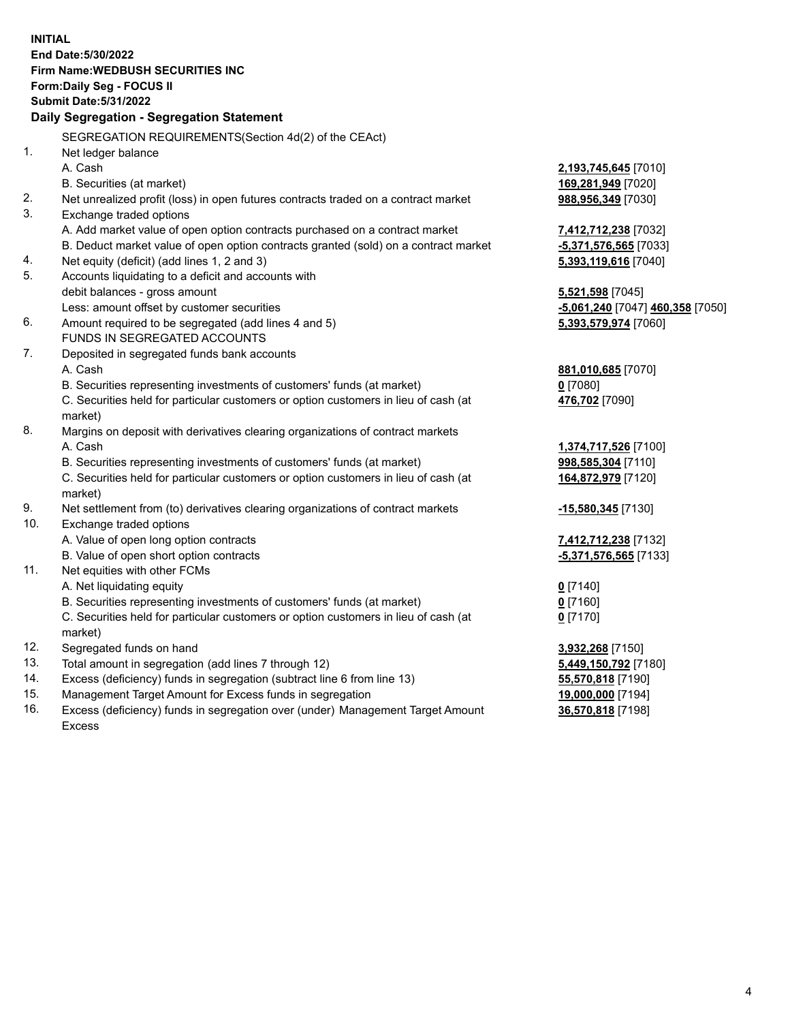|     | <b>INITIAL</b><br>End Date: 5/30/2022<br><b>Firm Name: WEDBUSH SECURITIES INC</b>              |                                  |
|-----|------------------------------------------------------------------------------------------------|----------------------------------|
|     | Form: Daily Seg - FOCUS II                                                                     |                                  |
|     | <b>Submit Date: 5/31/2022</b>                                                                  |                                  |
|     | Daily Segregation - Segregation Statement                                                      |                                  |
|     | SEGREGATION REQUIREMENTS(Section 4d(2) of the CEAct)                                           |                                  |
| 1.  | Net ledger balance                                                                             |                                  |
|     | A. Cash                                                                                        | 2,193,745,645 [7010]             |
|     | B. Securities (at market)                                                                      | 169,281,949 [7020]               |
| 2.  | Net unrealized profit (loss) in open futures contracts traded on a contract market             | 988,956,349 [7030]               |
| 3.  | Exchange traded options                                                                        |                                  |
|     | A. Add market value of open option contracts purchased on a contract market                    | 7,412,712,238 [7032]             |
|     | B. Deduct market value of open option contracts granted (sold) on a contract market            | -5,371,576,565 [7033]            |
| 4.  | Net equity (deficit) (add lines 1, 2 and 3)                                                    | 5,393,119,616 [7040]             |
| 5.  | Accounts liquidating to a deficit and accounts with                                            |                                  |
|     | debit balances - gross amount                                                                  | 5,521,598 [7045]                 |
|     | Less: amount offset by customer securities                                                     | -5,061,240 [7047] 460,358 [7050] |
| 6.  | Amount required to be segregated (add lines 4 and 5)                                           | 5,393,579,974 [7060]             |
|     | FUNDS IN SEGREGATED ACCOUNTS                                                                   |                                  |
| 7.  | Deposited in segregated funds bank accounts                                                    |                                  |
|     | A. Cash                                                                                        | 881,010,685 [7070]               |
|     | B. Securities representing investments of customers' funds (at market)                         | $0$ [7080]                       |
|     | C. Securities held for particular customers or option customers in lieu of cash (at<br>market) | 476,702 [7090]                   |
| 8.  | Margins on deposit with derivatives clearing organizations of contract markets                 |                                  |
|     | A. Cash                                                                                        | 1,374,717,526 [7100]             |
|     | B. Securities representing investments of customers' funds (at market)                         | 998,585,304 [7110]               |
|     | C. Securities held for particular customers or option customers in lieu of cash (at<br>market) | 164,872,979 [7120]               |
| 9.  | Net settlement from (to) derivatives clearing organizations of contract markets                | -15,580,345 [7130]               |
| 10. | Exchange traded options                                                                        |                                  |
|     | A. Value of open long option contracts                                                         | 7,412,712,238 [7132]             |
|     | B. Value of open short option contracts                                                        | -5,371,576,565 [7133]            |
| 11. | Net equities with other FCMs                                                                   |                                  |
|     | A. Net liquidating equity                                                                      | $Q$ [7140]                       |
|     | B. Securities representing investments of customers' funds (at market)                         | $0$ [7160]                       |
|     | C. Securities held for particular customers or option customers in lieu of cash (at<br>market) | $0$ [7170]                       |
| 12. | Segregated funds on hand                                                                       | 3,932,268 [7150]                 |
| 13. | Total amount in segregation (add lines 7 through 12)                                           | 5,449,150,792 [7180]             |
| 14. | Excess (deficiency) funds in segregation (subtract line 6 from line 13)                        | 55,570,818 [7190]                |
| 15. | Management Target Amount for Excess funds in segregation                                       | 19,000,000 [7194]                |

16. Excess (deficiency) funds in segregation over (under) Management Target Amount Excess

**36,570,818** [7198]